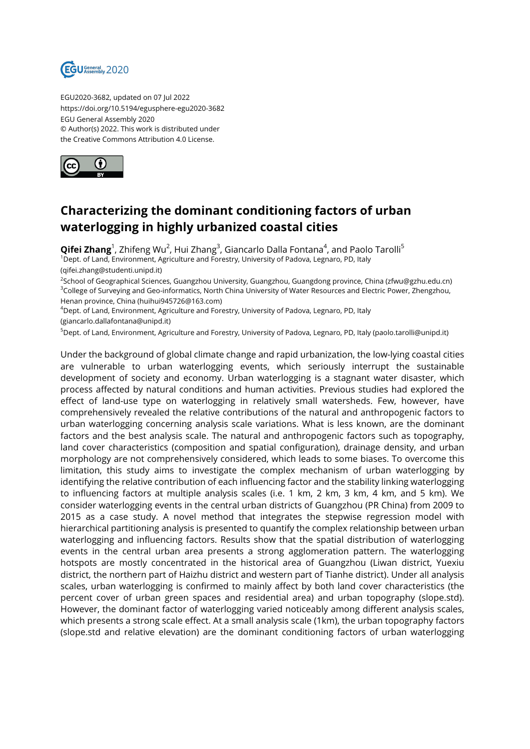

EGU2020-3682, updated on 07 Jul 2022 https://doi.org/10.5194/egusphere-egu2020-3682 EGU General Assembly 2020 © Author(s) 2022. This work is distributed under the Creative Commons Attribution 4.0 License.



## **Characterizing the dominant conditioning factors of urban waterlogging in highly urbanized coastal cities**

**Qifei Zhang**<sup>1</sup>, Zhifeng Wu<sup>2</sup>, Hui Zhang<sup>3</sup>, Giancarlo Dalla Fontana<sup>4</sup>, and Paolo Tarolli<sup>5</sup> <sup>1</sup>Dept. of Land, Environment, Agriculture and Forestry, University of Padova, Legnaro, PD, Italy

(qifei.zhang@studenti.unipd.it)

<sup>2</sup>School of Geographical Sciences, Guangzhou University, Guangzhou, Guangdong province, China (zfwu@gzhu.edu.cn) <sup>3</sup>College of Surveying and Geo-informatics, North China University of Water Resources and Electric Power, Zhengzhou, Henan province, China (huihui945726@163.com)

<sup>4</sup>Dept. of Land, Environment, Agriculture and Forestry, University of Padova, Legnaro, PD, Italy

(giancarlo.dallafontana@unipd.it)

<sup>5</sup>Dept. of Land, Environment, Agriculture and Forestry, University of Padova, Legnaro, PD, Italy (paolo.tarolli@unipd.it)

Under the background of global climate change and rapid urbanization, the low-lying coastal cities are vulnerable to urban waterlogging events, which seriously interrupt the sustainable development of society and economy. Urban waterlogging is a stagnant water disaster, which process affected by natural conditions and human activities. Previous studies had explored the effect of land-use type on waterlogging in relatively small watersheds. Few, however, have comprehensively revealed the relative contributions of the natural and anthropogenic factors to urban waterlogging concerning analysis scale variations. What is less known, are the dominant factors and the best analysis scale. The natural and anthropogenic factors such as topography, land cover characteristics (composition and spatial configuration), drainage density, and urban morphology are not comprehensively considered, which leads to some biases. To overcome this limitation, this study aims to investigate the complex mechanism of urban waterlogging by identifying the relative contribution of each influencing factor and the stability linking waterlogging to influencing factors at multiple analysis scales (i.e. 1 km, 2 km, 3 km, 4 km, and 5 km). We consider waterlogging events in the central urban districts of Guangzhou (PR China) from 2009 to 2015 as a case study. A novel method that integrates the stepwise regression model with hierarchical partitioning analysis is presented to quantify the complex relationship between urban waterlogging and influencing factors. Results show that the spatial distribution of waterlogging events in the central urban area presents a strong agglomeration pattern. The waterlogging hotspots are mostly concentrated in the historical area of Guangzhou (Liwan district, Yuexiu district, the northern part of Haizhu district and western part of Tianhe district). Under all analysis scales, urban waterlogging is confirmed to mainly affect by both land cover characteristics (the percent cover of urban green spaces and residential area) and urban topography (slope.std). However, the dominant factor of waterlogging varied noticeably among different analysis scales, which presents a strong scale effect. At a small analysis scale (1km), the urban topography factors (slope.std and relative elevation) are the dominant conditioning factors of urban waterlogging